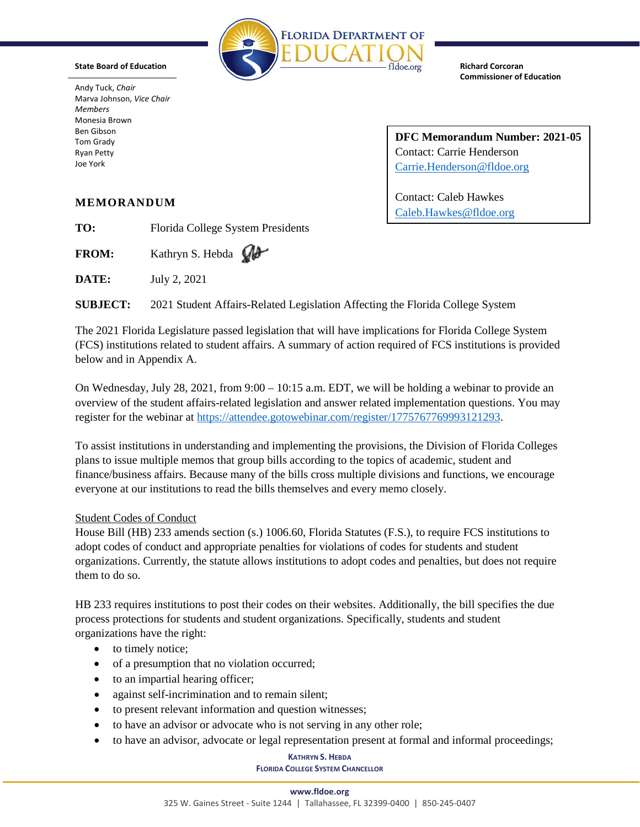

**State Board of Education**

Andy Tuck, *Chair* Marva Johnson, *Vice Chair Members* Monesia Brown Ben Gibson Tom Grady Ryan Petty Joe York

**Richard Corcoran Commissioner of Education**

**DFC Memorandum Number: 2021-05** Contact: Carrie Henderson [Carrie.Henderson@fldoe.org](mailto:Carrie.Henderson@fldoe.org)

Contact: Caleb Hawkes [Caleb.Hawkes@fldoe.org](mailto:Caleb.Hawkes@fldoe.org)

# **MEMORANDUM**

**TO:** Florida College System Presidents

FROM: Kathryn S. Hebda  $\mathbb{Q}$ 

**DATE:** July 2, 2021

**SUBJECT:** 2021 Student Affairs-Related Legislation Affecting the Florida College System

The 2021 Florida Legislature passed legislation that will have implications for Florida College System (FCS) institutions related to student affairs. A summary of action required of FCS institutions is provided below and in Appendix A.

On Wednesday, July 28, 2021, from  $9:00 - 10:15$  a.m. EDT, we will be holding a webinar to provide an overview of the student affairs-related legislation and answer related implementation questions. You may register for the webinar at [https://attendee.gotowebinar.com/register/1775767769993121293.](https://attendee.gotowebinar.com/register/1775767769993121293)

To assist institutions in understanding and implementing the provisions, the Division of Florida Colleges plans to issue multiple memos that group bills according to the topics of academic, student and finance/business affairs. Because many of the bills cross multiple divisions and functions, we encourage everyone at our institutions to read the bills themselves and every memo closely.

## Student Codes of Conduct

House Bill (HB) 233 amends section (s.) 1006.60, Florida Statutes (F.S.), to require FCS institutions to adopt codes of conduct and appropriate penalties for violations of codes for students and student organizations. Currently, the statute allows institutions to adopt codes and penalties, but does not require them to do so.

HB 233 requires institutions to post their codes on their websites. Additionally, the bill specifies the due process protections for students and student organizations. Specifically, students and student organizations have the right:

- to timely notice;
- of a presumption that no violation occurred;
- to an impartial hearing officer;
- against self-incrimination and to remain silent;
- to present relevant information and question witnesses;
- to have an advisor or advocate who is not serving in any other role;
- to have an advisor, advocate or legal representation present at formal and informal proceedings;

## **KATHRYN S. HEBDA**

#### **FLORIDA COLLEGE SYSTEM CHANCELLOR**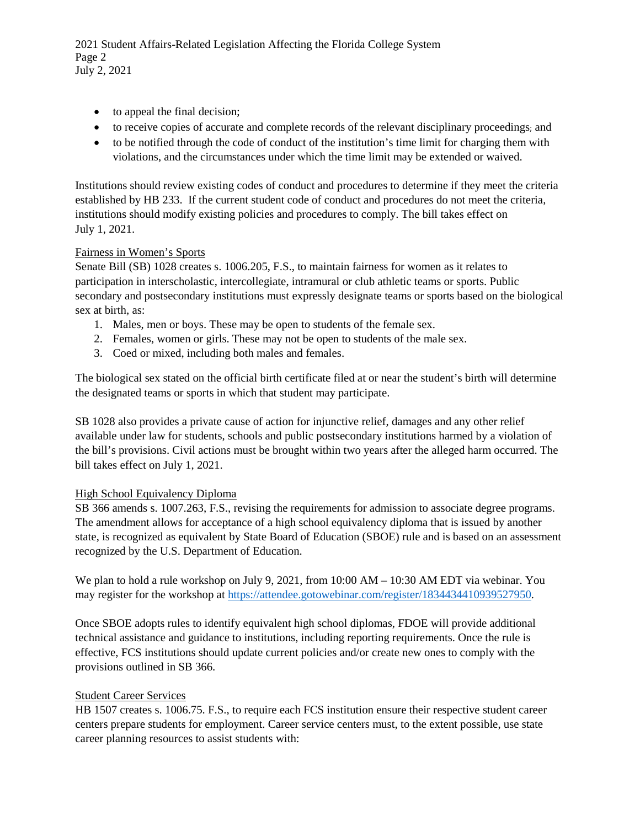2021 Student Affairs-Related Legislation Affecting the Florida College System Page 2 July 2, 2021

- to appeal the final decision;
- to receive copies of accurate and complete records of the relevant disciplinary proceedings; and
- to be notified through the code of conduct of the institution's time limit for charging them with violations, and the circumstances under which the time limit may be extended or waived.

Institutions should review existing codes of conduct and procedures to determine if they meet the criteria established by HB 233. If the current student code of conduct and procedures do not meet the criteria, institutions should modify existing policies and procedures to comply. The bill takes effect on July 1, 2021.

## Fairness in Women's Sports

Senate Bill (SB) 1028 creates s. 1006.205, F.S., to maintain fairness for women as it relates to participation in interscholastic, intercollegiate, intramural or club athletic teams or sports. Public secondary and postsecondary institutions must expressly designate teams or sports based on the biological sex at birth, as:

- 1. Males, men or boys. These may be open to students of the female sex.
- 2. Females, women or girls. These may not be open to students of the male sex.
- 3. Coed or mixed, including both males and females.

The biological sex stated on the official birth certificate filed at or near the student's birth will determine the designated teams or sports in which that student may participate.

SB 1028 also provides a private cause of action for injunctive relief, damages and any other relief available under law for students, schools and public postsecondary institutions harmed by a violation of the bill's provisions. Civil actions must be brought within two years after the alleged harm occurred. The bill takes effect on July 1, 2021.

### High School Equivalency Diploma

SB 366 amends s. 1007.263, F.S., revising the requirements for admission to associate degree programs. The amendment allows for acceptance of a high school equivalency diploma that is issued by another state, is recognized as equivalent by State Board of Education (SBOE) rule and is based on an assessment recognized by the U.S. Department of Education.

We plan to hold a rule workshop on July 9, 2021, from 10:00 AM – 10:30 AM EDT via webinar. You may register for the workshop at [https://attendee.gotowebinar.com/register/1834434410939527950.](https://attendee.gotowebinar.com/register/1834434410939527950)

Once SBOE adopts rules to identify equivalent high school diplomas, FDOE will provide additional technical assistance and guidance to institutions, including reporting requirements. Once the rule is effective, FCS institutions should update current policies and/or create new ones to comply with the provisions outlined in SB 366.

### Student Career Services

HB 1507 creates s. 1006.75. F.S., to require each FCS institution ensure their respective student career centers prepare students for employment. Career service centers must, to the extent possible, use state career planning resources to assist students with: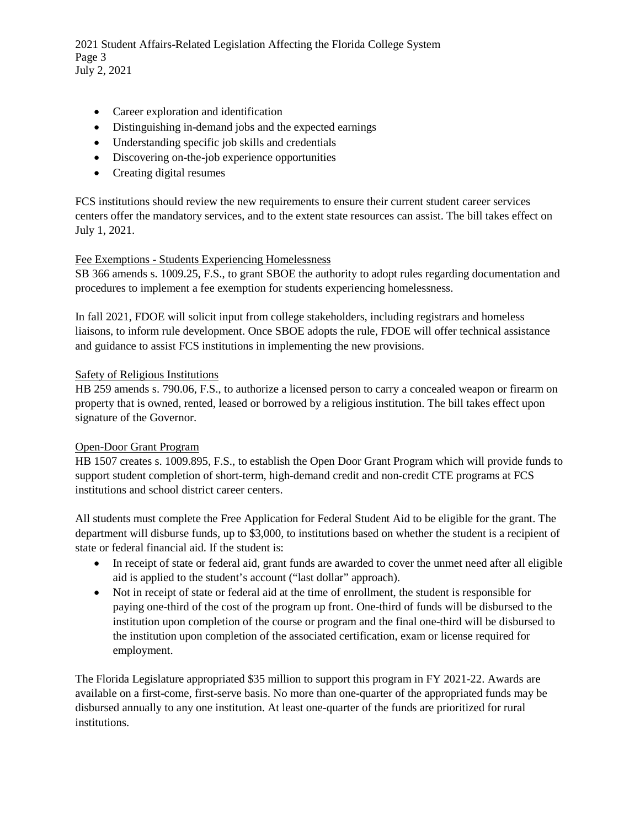2021 Student Affairs-Related Legislation Affecting the Florida College System Page 3 July 2, 2021

- Career exploration and identification
- Distinguishing in-demand jobs and the expected earnings
- Understanding specific job skills and credentials
- Discovering on-the-job experience opportunities
- Creating digital resumes

FCS institutions should review the new requirements to ensure their current student career services centers offer the mandatory services, and to the extent state resources can assist. The bill takes effect on July 1, 2021.

### Fee Exemptions - Students Experiencing Homelessness

SB 366 amends s. 1009.25, F.S., to grant SBOE the authority to adopt rules regarding documentation and procedures to implement a fee exemption for students experiencing homelessness.

In fall 2021, FDOE will solicit input from college stakeholders, including registrars and homeless liaisons, to inform rule development. Once SBOE adopts the rule, FDOE will offer technical assistance and guidance to assist FCS institutions in implementing the new provisions.

#### Safety of Religious Institutions

HB 259 amends s. 790.06, F.S., to authorize a licensed person to carry a concealed weapon or firearm on property that is owned, rented, leased or borrowed by a religious institution. The bill takes effect upon signature of the Governor.

### Open-Door Grant Program

HB 1507 creates s. 1009.895, F.S., to establish the Open Door Grant Program which will provide funds to support student completion of short-term, high-demand credit and non-credit CTE programs at FCS institutions and school district career centers.

All students must complete the Free Application for Federal Student Aid to be eligible for the grant. The department will disburse funds, up to \$3,000, to institutions based on whether the student is a recipient of state or federal financial aid. If the student is:

- In receipt of state or federal aid, grant funds are awarded to cover the unmet need after all eligible aid is applied to the student's account ("last dollar" approach).
- Not in receipt of state or federal aid at the time of enrollment, the student is responsible for paying one-third of the cost of the program up front. One-third of funds will be disbursed to the institution upon completion of the course or program and the final one-third will be disbursed to the institution upon completion of the associated certification, exam or license required for employment.

The Florida Legislature appropriated \$35 million to support this program in FY 2021-22. Awards are available on a first-come, first-serve basis. No more than one-quarter of the appropriated funds may be disbursed annually to any one institution. At least one-quarter of the funds are prioritized for rural institutions.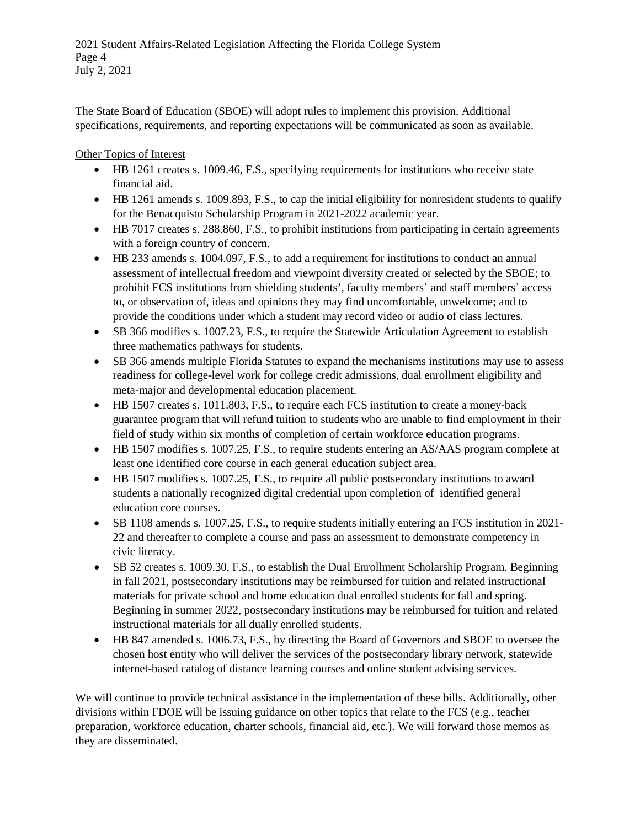The State Board of Education (SBOE) will adopt rules to implement this provision. Additional specifications, requirements, and reporting expectations will be communicated as soon as available.

Other Topics of Interest

- HB 1261 creates s. 1009.46, F.S., specifying requirements for institutions who receive state financial aid.
- HB 1261 amends s. 1009.893, F.S., to cap the initial eligibility for nonresident students to qualify for the Benacquisto Scholarship Program in 2021-2022 academic year.
- HB 7017 creates s. 288.860, F.S., to prohibit institutions from participating in certain agreements with a foreign country of concern.
- HB 233 amends s. 1004.097, F.S., to add a requirement for institutions to conduct an annual assessment of intellectual freedom and viewpoint diversity created or selected by the SBOE; to prohibit FCS institutions from shielding students', faculty members' and staff members' access to, or observation of, ideas and opinions they may find uncomfortable, unwelcome; and to provide the conditions under which a student may record video or audio of class lectures.
- SB 366 modifies s. 1007.23, F.S., to require the Statewide Articulation Agreement to establish three mathematics pathways for students.
- SB 366 amends multiple Florida Statutes to expand the mechanisms institutions may use to assess readiness for college-level work for college credit admissions, dual enrollment eligibility and meta-major and developmental education placement.
- HB 1507 creates s. 1011.803, F.S., to require each FCS institution to create a money-back guarantee program that will refund tuition to students who are unable to find employment in their field of study within six months of completion of certain workforce education programs.
- HB 1507 modifies s. 1007.25, F.S., to require students entering an AS/AAS program complete at least one identified core course in each general education subject area.
- HB 1507 modifies s. 1007.25, F.S., to require all public postsecondary institutions to award students a nationally recognized digital credential upon completion of identified general education core courses.
- SB 1108 amends s. 1007.25, F.S., to require students initially entering an FCS institution in 2021-22 and thereafter to complete a course and pass an assessment to demonstrate competency in civic literacy.
- SB 52 creates s. 1009.30, F.S., to establish the Dual Enrollment Scholarship Program. Beginning in fall 2021, postsecondary institutions may be reimbursed for tuition and related instructional materials for private school and home education dual enrolled students for fall and spring. Beginning in summer 2022, postsecondary institutions may be reimbursed for tuition and related instructional materials for all dually enrolled students.
- HB 847 amended s. 1006.73, F.S., by directing the Board of Governors and SBOE to oversee the chosen host entity who will deliver the services of the postsecondary library network, statewide internet-based catalog of distance learning courses and online student advising services.

We will continue to provide technical assistance in the implementation of these bills. Additionally, other divisions within FDOE will be issuing guidance on other topics that relate to the FCS (e.g., teacher preparation, workforce education, charter schools, financial aid, etc.). We will forward those memos as they are disseminated.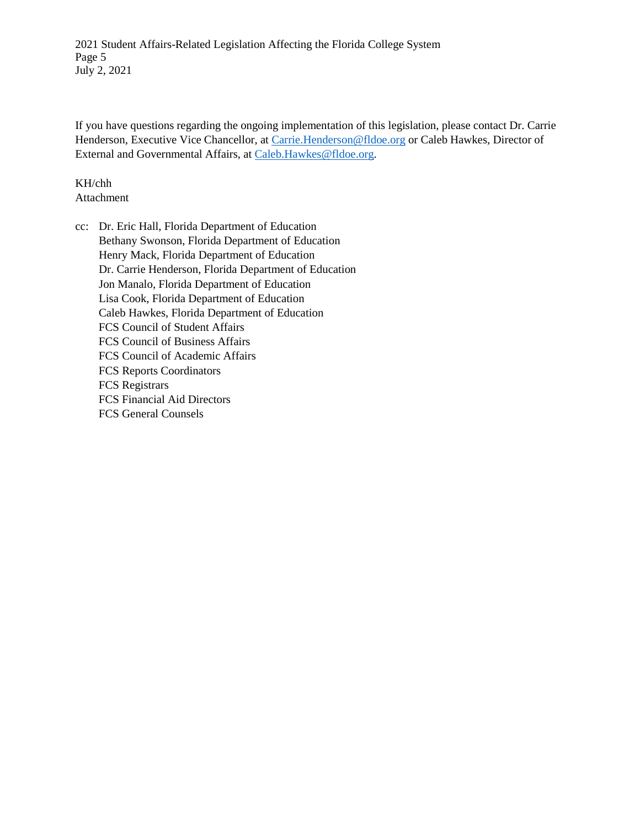2021 Student Affairs-Related Legislation Affecting the Florida College System Page 5 July 2, 2021

If you have questions regarding the ongoing implementation of this legislation, please contact Dr. Carrie Henderson, Executive Vice Chancellor, at [Carrie.Henderson@fldoe.org](mailto:Carrie.Henderson@fldoe.org) or Caleb Hawkes, Director of External and Governmental Affairs, a[t Caleb.Hawkes@fldoe.org.](mailto:Caleb.Hawkes@fldoe.org)

KH/chh Attachment

cc: Dr. Eric Hall, Florida Department of Education Bethany Swonson, Florida Department of Education Henry Mack, Florida Department of Education Dr. Carrie Henderson, Florida Department of Education Jon Manalo, Florida Department of Education Lisa Cook, Florida Department of Education Caleb Hawkes, Florida Department of Education FCS Council of Student Affairs FCS Council of Business Affairs FCS Council of Academic Affairs FCS Reports Coordinators FCS Registrars FCS Financial Aid Directors FCS General Counsels